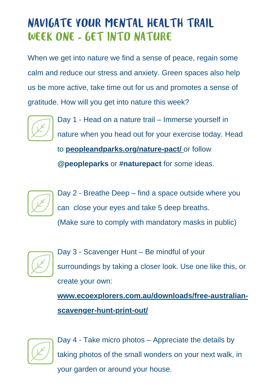## NAVIGATE YOUR MENTAL HEALTH TRAIL WEEK ONE - GET INTO NATURE

When we get into nature we find a sense of peace, regain some calm and reduce our stress and anxiety. Green spaces also help us be more active, take time out for us and promotes a sense of gratitude. How will you get into nature this week?



Day 1 - Head on a nature trail – Immerse yourself in nature when you head out for your exercise today. Head to **[peopleandparks.org/nature-pact/](http://peopleandparks.org/nature-pact/)** or follow **@peopleparks** or **#naturepact** for some ideas.



Day 2 - Breathe Deep – find a space outside where you can close your eyes and take 5 deep breaths. (Make sure to comply with mandatory masks in public)



Day 3 - Scavenger Hunt – Be mindful of your surroundings by taking a closer look. Use one like this, or create your own:

**[www.ecoexplorers.com.au/downloads/free-australian](http://www.ecoexplorers.com.au/downloads/free-australian-scavenger-hunt-print-out/)scavenger-hunt-print-out/**



Day 4 - Take micro photos – Appreciate the details by taking photos of the small wonders on your next walk, in your garden or around your house.